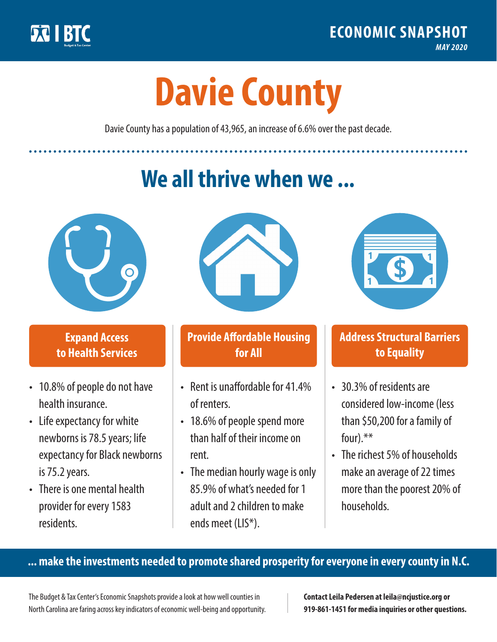

**1**

# **Davie County**

Davie County has a population of 43,965, an increase of 6.6% over the past decade.

# **We all thrive when we ...**



**\$ <sup>1</sup>**

**\$ <sup>1</sup>**

## **Expand Access to Health Services**

- 10.8% of people do not have health insurance.
- Life expectancy for white newborns is 78.5years; life expectancy for Black newborns is 75.2years.
- There is one mental health provider for every 1583 residents.



## **Provide Affordable Housing for All**

- Rent is unaffordable for 41 4% of renters.
- 18.6% of people spend more than half of their income on rent.
- The median hourly wage is only 85.9% of what's needed for 1 adult and 2 children to make ends meet (LIS\*).



## **Address Structural Barriers to Equality**

- 30.3% of residents are considered low-income (less than \$50,200 for a family of four).\*\*
- The richest 5% of households make an average of 22 times more than the poorest 20% of households.

#### **... make the investments needed to promote shared prosperity for everyone in every county in N.C.**

The Budget & Tax Center's Economic Snapshots provide a look at how well counties in North Carolina are faring across key indicators of economic well-being and opportunity.